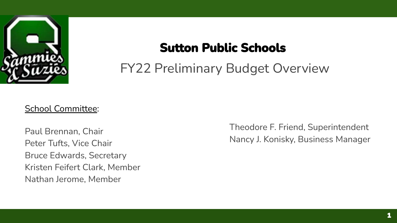

# **Sutton Public Schools**

FY22 Preliminary Budget Overview

#### School Committee:

Paul Brennan, Chair Peter Tufts, Vice Chair Bruce Edwards, Secretary Kristen Feifert Clark, Member Nathan Jerome, Member

Theodore F. Friend, Superintendent Nancy J. Konisky, Business Manager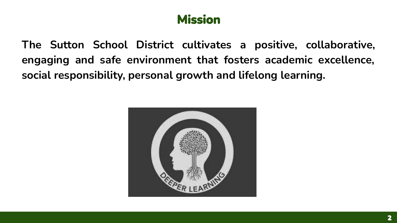### **Mission**

**The Sutton School District cultivates a positive, collaborative, engaging and safe environment that fosters academic excellence, social responsibility, personal growth and lifelong learning.**

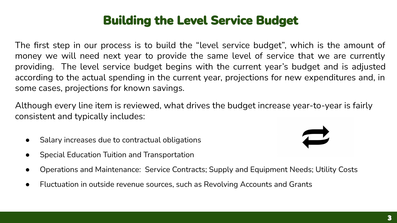# **Building the Level Service Budget**

The first step in our process is to build the "level service budget", which is the amount of money we will need next year to provide the same level of service that we are currently providing. The level service budget begins with the current year's budget and is adjusted according to the actual spending in the current year, projections for new expenditures and, in some cases, projections for known savings.

Although every line item is reviewed, what drives the budget increase year-to-year is fairly consistent and typically includes:

- Salary increases due to contractual obligations
- **Special Education Tuition and Transportation**
- Operations and Maintenance: Service Contracts; Supply and Equipment Needs; Utility Costs
- Fluctuation in outside revenue sources, such as Revolving Accounts and Grants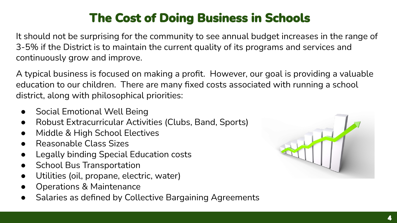# **The Cost of Doing Business in Schools**

It should not be surprising for the community to see annual budget increases in the range of 3-5% if the District is to maintain the current quality of its programs and services and continuously grow and improve.

A typical business is focused on making a profit. However, our goal is providing a valuable education to our children. There are many fixed costs associated with running a school district, along with philosophical priorities:

- **Social Emotional Well Being**
- Robust Extracurricular Activities (Clubs, Band, Sports)
- Middle & High School Electives
- **Reasonable Class Sizes**
- **Legally binding Special Education costs**
- **School Bus Transportation**
- Utilities (oil, propane, electric, water)
- **Operations & Maintenance**
- Salaries as defined by Collective Bargaining Agreements

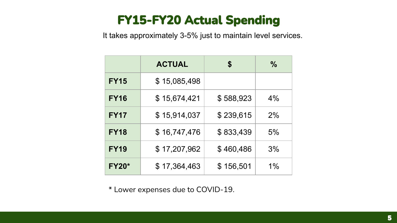# **FY15-FY20 Actual Spending**

It takes approximately 3-5% just to maintain level services.

|              | <b>ACTUAL</b> | \$        | $\frac{0}{0}$ |
|--------------|---------------|-----------|---------------|
| <b>FY15</b>  | \$15,085,498  |           |               |
| <b>FY16</b>  | \$15,674,421  | \$588,923 | 4%            |
| <b>FY17</b>  | \$15,914,037  | \$239,615 | 2%            |
| <b>FY18</b>  | \$16,747,476  | \$833,439 | 5%            |
| <b>FY19</b>  | \$17,207,962  | \$460,486 | 3%            |
| <b>FY20*</b> | \$17,364,463  | \$156,501 | $1\%$         |

\* Lower expenses due to COVID-19.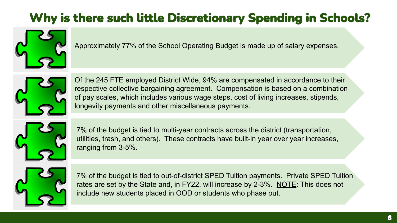# Why is there such little Discretionary Spending in Schools?



Approximately 77% of the School Operating Budget is made up of salary expenses.



Of the 245 FTE employed District Wide, 94% are compensated in accordance to their respective collective bargaining agreement. Compensation is based on a combination of pay scales, which includes various wage steps, cost of living increases, stipends, longevity payments and other miscellaneous payments.

7% of the budget is tied to multi-year contracts across the district (transportation, utilities, trash, and others). These contracts have built-in year over year increases, ranging from 3-5%.



7% of the budget is tied to out-of-district SPED Tuition payments. Private SPED Tuition rates are set by the State and, in FY22, will increase by 2-3%. NOTE: This does not include new students placed in OOD or students who phase out.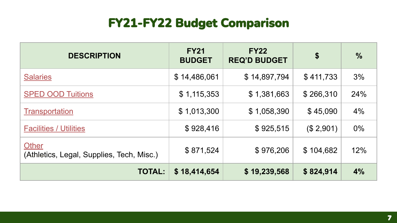# **FY21-FY22 Budget Comparison**

| <b>DESCRIPTION</b>                                        | <b>FY21</b><br><b>BUDGET</b> | <b>FY22</b><br><b>REQ'D BUDGET</b> | \$        | $\frac{9}{6}$ |
|-----------------------------------------------------------|------------------------------|------------------------------------|-----------|---------------|
| <b>Salaries</b>                                           | \$14,486,061                 | \$14,897,794                       | \$411,733 | 3%            |
| <b>SPED OOD Tuitions</b>                                  | \$1,115,353                  | \$1,381,663                        | \$266,310 | 24%           |
| Transportation                                            | \$1,013,300                  | \$1,058,390                        | \$45,090  | 4%            |
| <b>Facilities / Utilities</b>                             | \$928,416                    | \$925,515                          | (\$2,901) | $0\%$         |
| <b>Other</b><br>(Athletics, Legal, Supplies, Tech, Misc.) | \$871,524                    | \$976,206                          | \$104,682 | 12%           |
| <b>TOTAL:</b>                                             | \$18,414,654                 | \$19,239,568                       | \$824,914 | 4%            |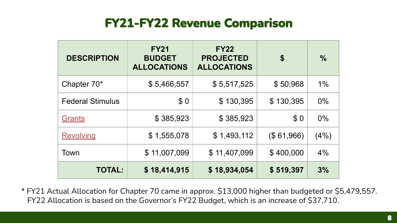### **FY21-FY22 Revenue Comparison**

| <b>DESCRIPTION</b>      | <b>FY21</b><br><b>BUDGET</b><br><b>ALLOCATIONS</b> | <b>FY22</b><br><b>PROJECTED</b><br><b>ALLOCATIONS</b> | \$         | $\frac{9}{6}$ |
|-------------------------|----------------------------------------------------|-------------------------------------------------------|------------|---------------|
| Chapter 70*             | \$5,466,557                                        | \$5,517,525                                           | \$50,968   | $1\%$         |
| <b>Federal Stimulus</b> | \$0                                                | \$130,395                                             | \$130,395  | 0%            |
| <b>Grants</b>           | \$385,923                                          | \$385,923                                             | \$0        | 0%            |
| <b>Revolving</b>        | \$1,555,078                                        | \$1,493,112                                           | (\$61,966) | (4%)          |
| Town                    | \$11,007,099                                       | \$11,407,099                                          | \$400,000  | 4%            |
| <b>TOTAL:</b>           | \$18,414,915                                       | \$18,934,054                                          | \$519,397  | 3%            |

\* FY21 Actual Allocation for Chapter 70 came in approx. \$13,000 higher than budgeted or \$5,479,557. FY22 Allocation is based on the Governor's FY22 Budget, which is an increase of \$37,710.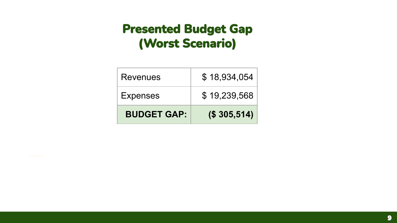# **Presented Budget Gap** (Worst Scenario)

| <b>BUDGET GAP:</b> | (S305,514)   |
|--------------------|--------------|
| <b>Expenses</b>    | \$19,239,568 |
| Revenues           | \$18,934,054 |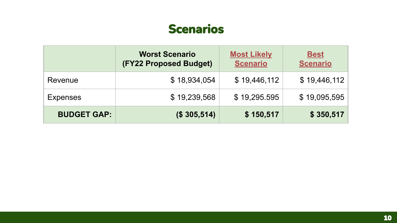### **Scenarios**

|                    | <b>Worst Scenario</b><br>(FY22 Proposed Budget) | <b>Most Likely</b><br><b>Scenario</b> | <b>Best</b><br><b>Scenario</b> |
|--------------------|-------------------------------------------------|---------------------------------------|--------------------------------|
| Revenue            | \$18,934,054                                    | \$19,446,112                          | \$19,446,112                   |
| <b>Expenses</b>    | \$19,239,568                                    | \$19,295.595                          | \$19,095,595                   |
| <b>BUDGET GAP:</b> | (\$305,514)                                     | \$150,517                             | \$350,517                      |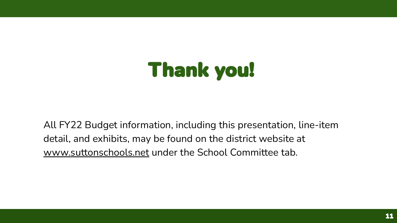# **Thank you!**

All FY22 Budget information, including this presentation, line-item detail, and exhibits, may be found on the district website at [www.suttonschools.net](http://www.suttonschools.net) under the School Committee tab.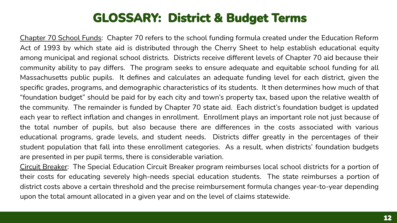### **GLOSSARY: District & Budget Terms**

Chapter 70 School Funds: Chapter 70 refers to the school funding formula created under the Education Reform Act of 1993 by which state aid is distributed through the Cherry Sheet to help establish educational equity among municipal and regional school districts. Districts receive different levels of Chapter 70 aid because their community ability to pay differs. The program seeks to ensure adequate and equitable school funding for all Massachusetts public pupils. It defines and calculates an adequate funding level for each district, given the specific grades, programs, and demographic characteristics of its students. It then determines how much of that "foundation budget" should be paid for by each city and town's property tax, based upon the relative wealth of the community. The remainder is funded by Chapter 70 state aid. Each district's foundation budget is updated each year to reflect inflation and changes in enrollment. Enrollment plays an important role not just because of the total number of pupils, but also because there are differences in the costs associated with various educational programs, grade levels, and student needs. Districts differ greatly in the percentages of their student population that fall into these enrollment categories. As a result, when districts' foundation budgets are presented in per pupil terms, there is considerable variation.

Circuit Breaker: The Special Education Circuit Breaker program reimburses local school districts for a portion of their costs for educating severely high-needs special education students. The state reimburses a portion of district costs above a certain threshold and the precise reimbursement formula changes year-to-year depending upon the total amount allocated in a given year and on the level of claims statewide.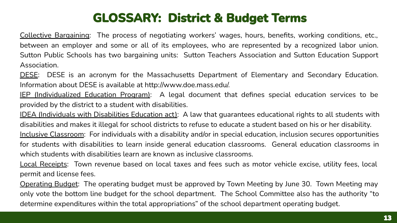# **GLOSSARY: District & Budget Terms**

Collective Bargaining: The process of negotiating workers' wages, hours, benefits, working conditions, etc., between an employer and some or all of its employees, who are represented by a recognized labor union. Sutton Public Schools has two bargaining units: Sutton Teachers Association and Sutton Education Support Association.

DESE: DESE is an acronym for the Massachusetts Department of Elementary and Secondary Education. Information about DESE is available at http://www.doe.mass.edu/.

IEP (Individualized Education Program): A legal document that defines special education services to be provided by the district to a student with disabilities.

IDEA (Individuals with Disabilities Education act): A law that guarantees educational rights to all students with disabilities and makes it illegal for school districts to refuse to educate a student based on his or her disability. Inclusive Classroom: For individuals with a disability and/or in special education, inclusion secures opportunities for students with disabilities to learn inside general education classrooms. General education classrooms in which students with disabilities learn are known as inclusive classrooms.

Local Receipts: Town revenue based on local taxes and fees such as motor vehicle excise, utility fees, local permit and license fees.

Operating Budget: The operating budget must be approved by Town Meeting by June 30. Town Meeting may only vote the bottom line budget for the school department. The School Committee also has the authority "to determine expenditures within the total appropriations" of the school department operating budget.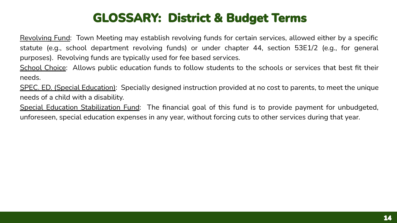# **GLOSSARY: District & Budget Terms**

Revolving Fund: Town Meeting may establish revolving funds for certain services, allowed either by a specific statute (e.g., school department revolving funds) or under chapter 44, section 53E1/2 (e.g., for general purposes). Revolving funds are typically used for fee based services.

School Choice: Allows public education funds to follow students to the schools or services that best fit their needs.

SPEC. ED. (Special Education): Specially designed instruction provided at no cost to parents, to meet the unique needs of a child with a disability.

Special Education Stabilization Fund: The financial goal of this fund is to provide payment for unbudgeted, unforeseen, special education expenses in any year, without forcing cuts to other services during that year.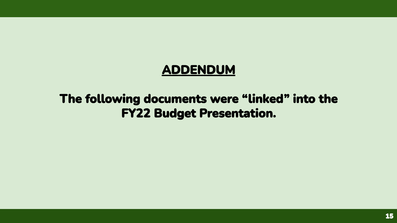### **ADDENDUM**

### The following documents were "linked" into the **FY22 Budget Presentation.**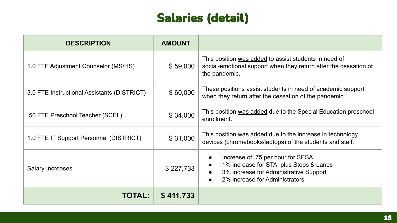# **Salaries (detail)**

<span id="page-15-0"></span>

| <b>DESCRIPTION</b>                          | <b>AMOUNT</b> |                                                                                                                                                                       |
|---------------------------------------------|---------------|-----------------------------------------------------------------------------------------------------------------------------------------------------------------------|
| 1.0 FTE Adjustment Counselor (MS/HS)        | \$59,000      | This position was added to assist students in need of<br>social-emotional support when they return after the cessation of<br>the pandemic.                            |
| 3.0 FTE Instructional Assistants (DISTRICT) | \$60,000      | These positions assist students in need of academic support<br>when they return after the cessation of the pandemic.                                                  |
| .50 FTE Preschool Teacher (SCEL)            | \$34,000      | This position was added due to the Special Education preschool<br>enrollment.                                                                                         |
| 1.0 FTE IT Support Personnel (DISTRICT)     | \$31,000      | This position was added due to the increase in technology<br>devices (chromebooks/laptops) of the students and staff.                                                 |
| <b>Salary Increases</b>                     | \$227,733     | Increase of .75 per hour for SESA<br>$\bullet$<br>1% increase for STA, plus Steps & Lanes<br>3% increase for Administrative Support<br>2% increase for Administrators |
| <b>TOTAL:</b>                               | \$411,733     |                                                                                                                                                                       |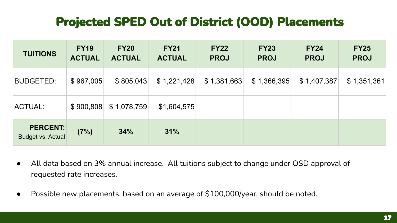# **Projected SPED Out of District (OOD) Placements**

<span id="page-16-0"></span>

| <b>TUITIONS</b>                      | <b>FY19</b><br><b>ACTUAL</b> | <b>FY20</b><br><b>ACTUAL</b> | <b>FY21</b><br><b>ACTUAL</b> | <b>FY22</b><br><b>PROJ</b> | <b>FY23</b><br><b>PROJ</b> | <b>FY24</b><br><b>PROJ</b> | <b>FY25</b><br><b>PROJ</b> |
|--------------------------------------|------------------------------|------------------------------|------------------------------|----------------------------|----------------------------|----------------------------|----------------------------|
| <b>BUDGETED:</b>                     | \$967,005                    | \$805,043                    | \$1,221,428                  | \$1,381,663                | \$1,366,395                | \$1,407,387                | \$1,351,361                |
| ACTUAL:                              | \$900,808                    | \$1,078,759                  | \$1,604,575                  |                            |                            |                            |                            |
| <b>PERCENT:</b><br>Budget vs. Actual | (7%)                         | 34%                          | 31%                          |                            |                            |                            |                            |

- All data based on 3% annual increase. All tuitions subject to change under OSD approval of requested rate increases.
- Possible new placements, based on an average of \$100,000/year, should be noted.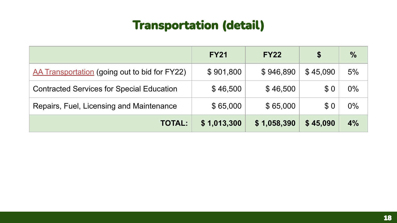<span id="page-17-0"></span>

|                                                  | <b>FY21</b> | <b>FY22</b> | \$       | $\frac{0}{0}$ |
|--------------------------------------------------|-------------|-------------|----------|---------------|
| AA Transportation (going out to bid for FY22)    | \$901,800   | \$946,890   | \$45,090 | 5%            |
| <b>Contracted Services for Special Education</b> | \$46,500    | \$46,500    | \$0      | $0\%$         |
| Repairs, Fuel, Licensing and Maintenance         | \$65,000    | \$65,000    | \$0      | $0\%$         |
| <b>TOTAL:</b>                                    | \$1,013,300 | \$1,058,390 | \$45,090 | 4%            |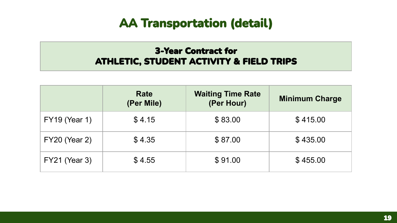#### **3-Year Contract for ATHLETIC, STUDENT ACTIVITY & FIELD TRIPS**

|                      | <b>Rate</b><br>(Per Mile) | <b>Waiting Time Rate</b><br>(Per Hour) | <b>Minimum Charge</b> |
|----------------------|---------------------------|----------------------------------------|-----------------------|
| <b>FY19 (Year 1)</b> | \$4.15                    | \$83.00                                | \$415.00              |
| <b>FY20 (Year 2)</b> | \$4.35                    | \$87.00                                | \$435.00              |
| <b>FY21 (Year 3)</b> | \$4.55                    | \$91.00                                | \$455.00              |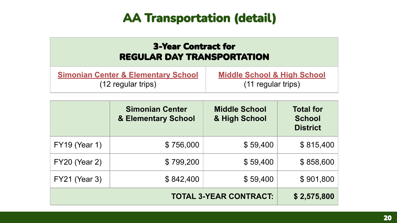<span id="page-19-0"></span>

| <b>3-Year Contract for</b><br><b>REGULAR DAY TRANSPORTATION</b> |                                        |  |  |  |
|-----------------------------------------------------------------|----------------------------------------|--|--|--|
| <b>Simonian Center &amp; Elementary School</b>                  | <b>Middle School &amp; High School</b> |  |  |  |
| (12 regular trips)                                              | (11 regular trips)                     |  |  |  |

|                      | <b>Simonian Center</b><br>& Elementary School | <b>Middle School</b><br>& High School | <b>Total for</b><br><b>School</b><br><b>District</b> |
|----------------------|-----------------------------------------------|---------------------------------------|------------------------------------------------------|
| <b>FY19 (Year 1)</b> | \$756,000                                     | \$59,400                              | \$815,400                                            |
| <b>FY20 (Year 2)</b> | \$799,200                                     | \$59,400                              | \$858,600                                            |
| <b>FY21 (Year 3)</b> | \$842,400                                     | \$59,400                              | \$901,800                                            |
|                      | \$2,575,800                                   |                                       |                                                      |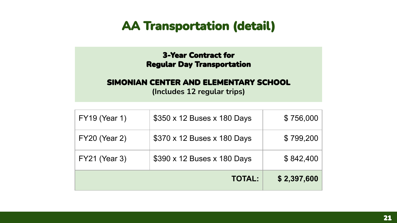#### **3-Year Contract for Regular Day Transportation**

#### <span id="page-20-0"></span>SIMONIAN CENTER AND ELEMENTARY SCHOOL

(Includes 12 regular trips)

|                      | <b>TOTAL:</b>               | \$2,397,600 |
|----------------------|-----------------------------|-------------|
| <b>FY21 (Year 3)</b> | \$390 x 12 Buses x 180 Days | \$842,400   |
| <b>FY20 (Year 2)</b> | \$370 x 12 Buses x 180 Days | \$799,200   |
| <b>FY19 (Year 1)</b> | \$350 x 12 Buses x 180 Days | \$756,000   |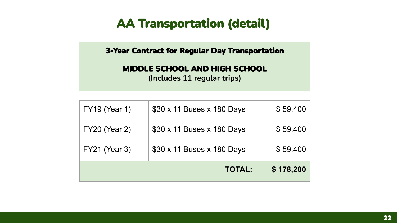<span id="page-21-0"></span>3-Year Contract for Regular Day Transportation

#### MIDDLE SCHOOL AND HIGH SCHOOL

(Includes 11 regular trips)

|                      | <b>TOTAL:</b>              | \$178,200 |
|----------------------|----------------------------|-----------|
| <b>FY21 (Year 3)</b> | \$30 x 11 Buses x 180 Days | \$59,400  |
| <b>FY20 (Year 2)</b> | \$30 x 11 Buses x 180 Days | \$59,400  |
| <b>FY19 (Year 1)</b> | \$30 x 11 Buses x 180 Days | \$59,400  |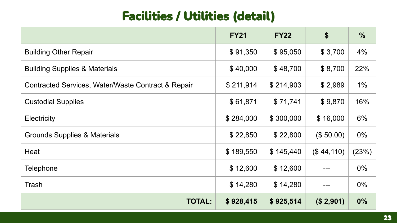# **Facilities / Utilities (detail)**

<span id="page-22-0"></span>

|                                                    | <b>FY21</b> | <b>FY22</b> | \$         | $\frac{0}{0}$ |
|----------------------------------------------------|-------------|-------------|------------|---------------|
| <b>Building Other Repair</b>                       | \$91,350    | \$95,050    | \$3,700    | 4%            |
| <b>Building Supplies &amp; Materials</b>           | \$40,000    | \$48,700    | \$8,700    | 22%           |
| Contracted Services, Water/Waste Contract & Repair | \$211,914   | \$214,903   | \$2,989    | $1\%$         |
| <b>Custodial Supplies</b>                          | \$61,871    | \$71,741    | \$9,870    | 16%           |
| Electricity                                        | \$284,000   | \$300,000   | \$16,000   | 6%            |
| Grounds Supplies & Materials                       | \$22,850    | \$22,800    | (\$50.00)  | $0\%$         |
| Heat                                               | \$189,550   | \$145,440   | (\$44,110) | (23%)         |
| Telephone                                          | \$12,600    | \$12,600    |            | $0\%$         |
| Trash                                              | \$14,280    | \$14,280    |            | $0\%$         |
| <b>TOTAL:</b>                                      | \$928,415   | \$925,514   | (\$2,901)  | 0%            |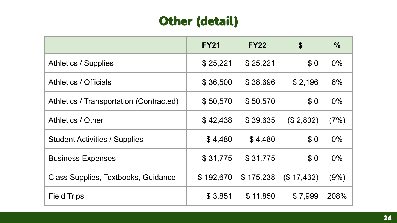### Other (detail)

<span id="page-23-0"></span>

|                                         | <b>FY21</b> | <b>FY22</b> | \$          | $\frac{0}{0}$ |
|-----------------------------------------|-------------|-------------|-------------|---------------|
| <b>Athletics / Supplies</b>             | \$25,221    | \$25,221    | \$0         | $0\%$         |
| <b>Athletics / Officials</b>            | \$36,500    | \$38,696    | \$2,196     | 6%            |
| Athletics / Transportation (Contracted) | \$50,570    | \$50,570    | \$0         | $0\%$         |
| Athletics / Other                       | \$42,438    | \$39,635    | (\$2,802)   | (7%)          |
| <b>Student Activities / Supplies</b>    | \$4,480     | \$4,480     | \$0         | $0\%$         |
| <b>Business Expenses</b>                | \$31,775    | \$31,775    | \$0         | $0\%$         |
| Class Supplies, Textbooks, Guidance     | \$192,670   | \$175,238   | (\$ 17,432) | (9%)          |
| <b>Field Trips</b>                      | \$3,851     | \$11,850    | \$7,999     | 208%          |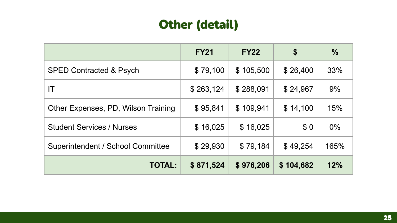# **Other (detail)**

|                                     | <b>FY21</b> | <b>FY22</b> | \$        | $\frac{0}{0}$ |
|-------------------------------------|-------------|-------------|-----------|---------------|
| <b>SPED Contracted &amp; Psych</b>  | \$79,100    | \$105,500   | \$26,400  | 33%           |
| ΙT                                  | \$263,124   | \$288,091   | \$24,967  | 9%            |
| Other Expenses, PD, Wilson Training | \$95,841    | \$109,941   | \$14,100  | 15%           |
| <b>Student Services / Nurses</b>    | \$16,025    | \$16,025    | \$0       | $0\%$         |
| Superintendent / School Committee   | \$29,930    | \$79,184    | \$49,254  | 165%          |
| <b>TOTAL:</b>                       | \$871,524   | \$976,206   | \$104,682 | 12%           |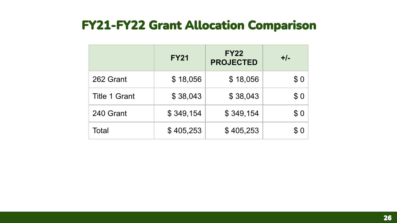### <span id="page-25-0"></span>**FY21-FY22 Grant Allocation Comparison**

|                      | <b>FY21</b> | <b>FY22</b><br><b>PROJECTED</b> | $+/-$ |
|----------------------|-------------|---------------------------------|-------|
| 262 Grant            | \$18,056    | \$18,056                        | \$0   |
| <b>Title 1 Grant</b> | \$38,043    | \$38,043                        | \$0   |
| 240 Grant            | \$349,154   | \$349,154                       | \$0   |
| Total                | \$405,253   | \$405,253                       | \$0   |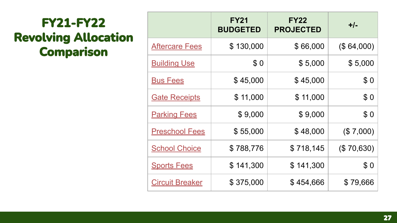# <span id="page-26-0"></span>**FY21-FY22 Revolving Allocation Comparison**

|                        | <b>FY21</b><br><b>BUDGETED</b> | <b>FY22</b><br><b>PROJECTED</b> | $+/-$      |
|------------------------|--------------------------------|---------------------------------|------------|
| <b>Aftercare Fees</b>  | \$130,000                      | \$66,000                        | (\$64,000) |
| <b>Building Use</b>    | \$0                            | \$5,000                         | \$5,000    |
| <u>Bus Fees</u>        | \$45,000                       | \$45,000                        | \$0        |
| <b>Gate Receipts</b>   | \$11,000                       | \$11,000                        | \$0        |
| <b>Parking Fees</b>    | \$9,000                        | \$9,000                         | \$0        |
| <b>Preschool Fees</b>  | \$55,000                       | \$48,000                        | (\$7,000)  |
| <b>School Choice</b>   | \$788,776                      | \$718,145                       | (\$70,630) |
| <b>Sports Fees</b>     | \$141,300                      | \$141,300                       | \$0        |
| <b>Circuit Breaker</b> | \$375,000                      | \$454,666                       | \$79,666   |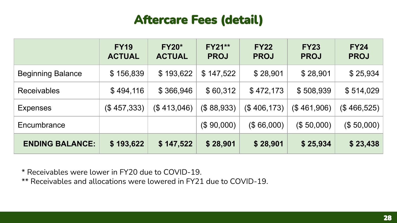### **Aftercare Fees (detail)**

<span id="page-27-0"></span>

|                          | <b>FY19</b><br><b>ACTUAL</b> | <b>FY20*</b><br><b>ACTUAL</b> | <b>FY21**</b><br><b>PROJ</b> | <b>FY22</b><br><b>PROJ</b> | <b>FY23</b><br><b>PROJ</b> | <b>FY24</b><br><b>PROJ</b> |
|--------------------------|------------------------------|-------------------------------|------------------------------|----------------------------|----------------------------|----------------------------|
| <b>Beginning Balance</b> | \$156,839                    | \$193,622                     | \$147,522                    | \$28,901                   | \$28,901                   | \$25,934                   |
| <b>Receivables</b>       | \$494,116                    | \$366,946                     | \$60,312                     | \$472,173                  | \$508,939                  | \$514,029                  |
| <b>Expenses</b>          | (\$457,333)                  | (\$413,046)                   | (\$88,933)                   | (\$406,173)                | (\$461,906)                | (\$466,525)                |
| Encumbrance              |                              |                               | (\$90,000)                   | (\$66,000)                 | (\$50,000)                 | (\$50,000)                 |
| <b>ENDING BALANCE:</b>   | \$193,622                    | \$147,522                     | \$28,901                     | \$28,901                   | \$25,934                   | \$23,438                   |

\* Receivables were lower in FY20 due to COVID-19.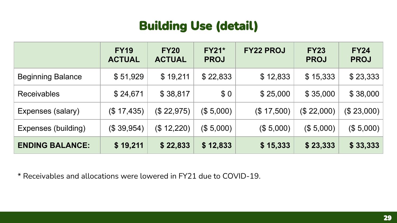# **Building Use (detail)**

<span id="page-28-0"></span>

|                          | <b>FY19</b><br><b>ACTUAL</b> | <b>FY20</b><br><b>ACTUAL</b> | <b>FY21*</b><br><b>PROJ</b> | <b>FY22 PROJ</b> | <b>FY23</b><br><b>PROJ</b> | <b>FY24</b><br><b>PROJ</b> |
|--------------------------|------------------------------|------------------------------|-----------------------------|------------------|----------------------------|----------------------------|
| <b>Beginning Balance</b> | \$51,929                     | \$19,211                     | \$22,833                    | \$12,833         | \$15,333                   | \$23,333                   |
| <b>Receivables</b>       | \$24,671                     | \$38,817                     | \$0                         | \$25,000         | \$35,000                   | \$38,000                   |
| Expenses (salary)        | (\$17,435)                   | (\$22,975)                   | (\$5,000)                   | (\$17,500)       | (\$22,000)                 | (\$23,000)                 |
| Expenses (building)      | (\$39,954)                   | (\$12,220)                   | (\$5,000)                   | (\$5,000)        | (\$5,000)                  | (\$5,000)                  |
| <b>ENDING BALANCE:</b>   | \$19,211                     | \$22,833                     | \$12,833                    | \$15,333         | \$23,333                   | \$33,333                   |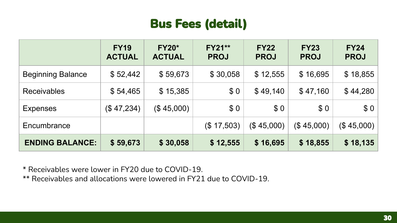# **Bus Fees (detail)**

<span id="page-29-0"></span>

|                          | <b>FY19</b><br><b>ACTUAL</b> | <b>FY20*</b><br><b>ACTUAL</b> | <b>FY21**</b><br><b>PROJ</b> | <b>FY22</b><br><b>PROJ</b> | <b>FY23</b><br><b>PROJ</b> | <b>FY24</b><br><b>PROJ</b> |
|--------------------------|------------------------------|-------------------------------|------------------------------|----------------------------|----------------------------|----------------------------|
| <b>Beginning Balance</b> | \$52,442                     | \$59,673                      | \$30,058                     | \$12,555                   | \$16,695                   | \$18,855                   |
| <b>Receivables</b>       | \$54,465                     | \$15,385                      | \$0                          | \$49,140                   | \$47,160                   | \$44,280                   |
| <b>Expenses</b>          | (\$47,234)                   | (\$45,000)                    | \$0                          | \$0                        | \$0                        | \$0                        |
| Encumbrance              |                              |                               | (\$17,503)                   | (\$45,000)                 | (\$45,000)                 | (\$45,000)                 |
| <b>ENDING BALANCE:</b>   | \$59,673                     | \$30,058                      | \$12,555                     | \$16,695                   | \$18,855                   | \$18,135                   |

\* Receivables were lower in FY20 due to COVID-19.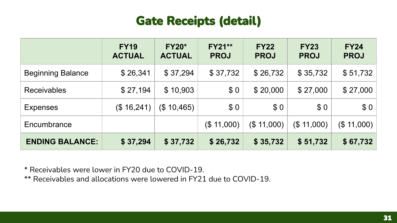# **Gate Receipts (detail)**

<span id="page-30-0"></span>

|                          | <b>FY19</b><br><b>ACTUAL</b> | <b>FY20*</b><br><b>ACTUAL</b> | <b>FY21**</b><br><b>PROJ</b> | <b>FY22</b><br><b>PROJ</b> | <b>FY23</b><br><b>PROJ</b> | <b>FY24</b><br><b>PROJ</b> |
|--------------------------|------------------------------|-------------------------------|------------------------------|----------------------------|----------------------------|----------------------------|
| <b>Beginning Balance</b> | \$26,341                     | \$37,294                      | \$37,732                     | \$26,732                   | \$35,732                   | \$51,732                   |
| <b>Receivables</b>       | \$27,194                     | \$10,903                      | \$0                          | \$20,000                   | \$27,000                   | \$27,000                   |
| <b>Expenses</b>          | (\$16,241)                   | (\$10,465)                    | \$0                          | \$0                        | \$0                        | \$0                        |
| Encumbrance              |                              |                               | (\$11,000)                   | (\$11,000)                 | (\$11,000)                 | (\$11,000)                 |
| <b>ENDING BALANCE:</b>   | \$37,294                     | \$37,732                      | \$26,732                     | \$35,732                   | \$51,732                   | \$67,732                   |

\* Receivables were lower in FY20 due to COVID-19.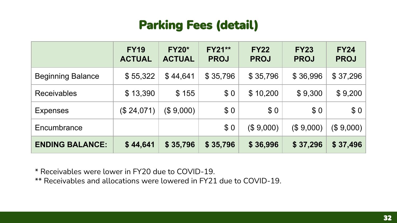### **Parking Fees (detail)**

<span id="page-31-0"></span>

|                          | <b>FY19</b><br><b>ACTUAL</b> | <b>FY20*</b><br><b>ACTUAL</b> | <b>FY21**</b><br><b>PROJ</b> | <b>FY22</b><br><b>PROJ</b> | <b>FY23</b><br><b>PROJ</b> | <b>FY24</b><br><b>PROJ</b> |
|--------------------------|------------------------------|-------------------------------|------------------------------|----------------------------|----------------------------|----------------------------|
| <b>Beginning Balance</b> | \$55,322                     | \$44,641                      | \$35,796                     | \$35,796                   | \$36,996                   | \$37,296                   |
| <b>Receivables</b>       | \$13,390                     | \$155                         | \$0                          | \$10,200                   | \$9,300                    | \$9,200                    |
| <b>Expenses</b>          | (\$24,071)                   | (\$9,000)                     | \$0                          | \$0                        | \$0                        | \$0                        |
| Encumbrance              |                              |                               | \$0                          | (\$9,000)                  | (\$9,000)                  | (\$9,000)                  |
| <b>ENDING BALANCE:</b>   | \$44,641                     | \$35,796                      | \$35,796                     | \$36,996                   | \$37,296                   | \$37,496                   |

\* Receivables were lower in FY20 due to COVID-19.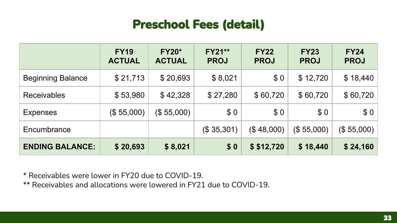### **Preschool Fees (detail)**

<span id="page-32-0"></span>

|                          | <b>FY19</b><br><b>ACTUAL</b> | <b>FY20*</b><br><b>ACTUAL</b> | <b>FY21**</b><br><b>PROJ</b> | <b>FY22</b><br><b>PROJ</b> | <b>FY23</b><br><b>PROJ</b> | <b>FY24</b><br><b>PROJ</b> |
|--------------------------|------------------------------|-------------------------------|------------------------------|----------------------------|----------------------------|----------------------------|
| <b>Beginning Balance</b> | \$21,713                     | \$20,693                      | \$8,021                      | \$0                        | \$12,720                   | \$18,440                   |
| <b>Receivables</b>       | \$53,980                     | \$42,328                      | \$27,280                     | \$60,720                   | \$60,720                   | \$60,720                   |
| <b>Expenses</b>          | (\$55,000)                   | (\$ 55,000)                   | \$0                          | \$0                        | \$0                        | \$0                        |
| Encumbrance              |                              |                               | (\$35,301)                   | (\$48,000)                 | (\$55,000)                 | (\$55,000)                 |
| <b>ENDING BALANCE:</b>   | \$20,693                     | \$8,021                       | \$0                          | \$ \$12,720                | \$18,440                   | \$24,160                   |

\* Receivables were lower in FY20 due to COVID-19.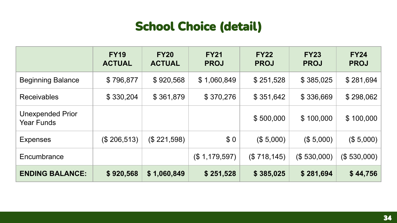# **School Choice (detail)**

<span id="page-33-0"></span>

|                                              | <b>FY19</b><br><b>ACTUAL</b> | <b>FY20</b><br><b>ACTUAL</b> | <b>FY21</b><br><b>PROJ</b> | <b>FY22</b><br><b>PROJ</b> | <b>FY23</b><br><b>PROJ</b> | <b>FY24</b><br><b>PROJ</b> |
|----------------------------------------------|------------------------------|------------------------------|----------------------------|----------------------------|----------------------------|----------------------------|
| <b>Beginning Balance</b>                     | \$796,877                    | \$920,568                    | \$1,060,849                | \$251,528                  | \$385,025                  | \$281,694                  |
| Receivables                                  | \$330,204                    | \$361,879                    | \$370,276                  | \$351,642                  | \$336,669                  | \$298,062                  |
| <b>Unexpended Prior</b><br><b>Year Funds</b> |                              |                              |                            | \$500,000                  | \$100,000                  | \$100,000                  |
| <b>Expenses</b>                              | (\$206,513)                  | (\$221,598)                  | \$0                        | (\$5,000)                  | (\$5,000)                  | (\$5,000)                  |
| Encumbrance                                  |                              |                              | (\$1,179,597)              | (\$718, 145)               | (\$ 530,000)               | (\$530,000)                |
| <b>ENDING BALANCE:</b>                       | \$920,568                    | \$1,060,849                  | \$251,528                  | \$385,025                  | \$281,694                  | \$44,756                   |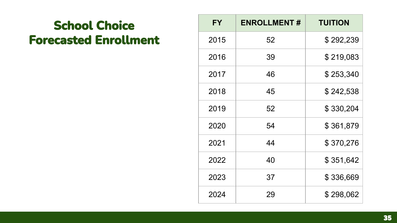# **School Choice Forecasted Enrollment**

| FY   | <b>ENROLLMENT#</b> | <b>TUITION</b> |
|------|--------------------|----------------|
| 2015 | 52                 | \$292,239      |
| 2016 | 39                 | \$219,083      |
| 2017 | 46                 | \$253,340      |
| 2018 | 45                 | \$242,538      |
| 2019 | 52                 | \$330,204      |
| 2020 | 54                 | \$361,879      |
| 2021 | 44                 | \$370,276      |
| 2022 | 40                 | \$351,642      |
| 2023 | 37                 | \$336,669      |
| 2024 | 29                 | \$298,062      |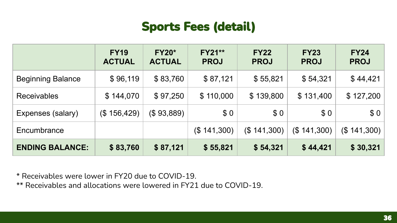## **Sports Fees (detail)**

<span id="page-35-0"></span>

|                          | <b>FY19</b><br><b>ACTUAL</b> | <b>FY20*</b><br><b>ACTUAL</b> | <b>FY21**</b><br><b>PROJ</b> | <b>FY22</b><br><b>PROJ</b> | <b>FY23</b><br><b>PROJ</b> | <b>FY24</b><br><b>PROJ</b> |
|--------------------------|------------------------------|-------------------------------|------------------------------|----------------------------|----------------------------|----------------------------|
| <b>Beginning Balance</b> | \$96,119                     | \$83,760                      | \$87,121                     | \$55,821                   | \$54,321                   | \$44,421                   |
| <b>Receivables</b>       | \$144,070                    | \$97,250                      | \$110,000                    | \$139,800                  | \$131,400                  | \$127,200                  |
| Expenses (salary)        | (\$156,429)                  | (\$93,889)                    | \$0                          | \$0                        | \$0                        | \$0                        |
| Encumbrance              |                              |                               | (\$141,300)                  | (\$141,300)                | (\$141,300)                | (\$141,300)                |
| <b>ENDING BALANCE:</b>   | \$83,760                     | \$87,121                      | \$55,821                     | \$54,321                   | \$44,421                   | \$30,321                   |

\* Receivables were lower in FY20 due to COVID-19.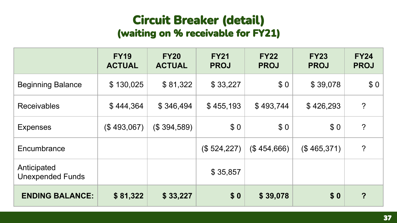### **Circuit Breaker (detail)** (waiting on % receivable for FY21)

<span id="page-36-0"></span>

|                                        | <b>FY19</b><br><b>ACTUAL</b> | <b>FY20</b><br><b>ACTUAL</b> | <b>FY21</b><br><b>PROJ</b> | <b>FY22</b><br><b>PROJ</b> | <b>FY23</b><br><b>PROJ</b> | <b>FY24</b><br><b>PROJ</b> |
|----------------------------------------|------------------------------|------------------------------|----------------------------|----------------------------|----------------------------|----------------------------|
| <b>Beginning Balance</b>               | \$130,025                    | \$81,322                     | \$33,227                   | \$0                        | \$39,078                   | \$0                        |
| <b>Receivables</b>                     | \$444,364                    | \$346,494                    | \$455,193                  | \$493,744                  | \$426,293                  | $\overline{?}$             |
| <b>Expenses</b>                        | (\$493,067)                  | (\$394,589)                  | \$0                        | \$0                        | \$0                        | $\overline{?}$             |
| Encumbrance                            |                              |                              | (\$524,227)                | (\$454,666)                | (\$465,371)                | $\overline{?}$             |
| Anticipated<br><b>Unexpended Funds</b> |                              |                              | \$35,857                   |                            |                            |                            |
| <b>ENDING BALANCE:</b>                 | \$81,322                     | \$33,227                     | \$0                        | \$39,078                   | \$0                        | $\overline{?}$             |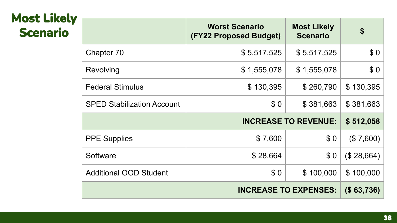# <span id="page-37-0"></span>**Most Likely Scenario**

|                                   | <b>Worst Scenario</b><br>(FY22 Proposed Budget) | <b>Most Likely</b><br><b>Scenario</b> | \$          |
|-----------------------------------|-------------------------------------------------|---------------------------------------|-------------|
| Chapter 70                        | \$5,517,525                                     | \$5,517,525                           | \$0         |
| Revolving                         | \$1,555,078                                     | \$1,555,078                           | \$0         |
| <b>Federal Stimulus</b>           | \$130,395                                       | \$260,790                             | \$130,395   |
| <b>SPED Stabilization Account</b> | \$0                                             | \$381,663                             | \$381,663   |
|                                   |                                                 | <b>INCREASE TO REVENUE:</b>           | \$512,058   |
| <b>PPE Supplies</b>               | \$7,600                                         | \$0                                   | (\$7,600)   |
| Software                          | \$28,664                                        | \$0                                   | (\$ 28,664) |
| <b>Additional OOD Student</b>     | \$0                                             | \$100,000                             | \$100,000   |
|                                   |                                                 | <b>INCREASE TO EXPENSES:</b>          | (\$ 63,736) |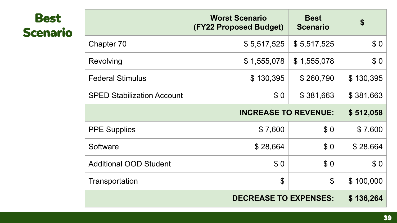# <span id="page-38-0"></span>**Best Scenario**

|                                   | <b>Worst Scenario</b><br><b>(FY22 Proposed Budget)</b> | <b>Best</b><br><b>Scenario</b> | \$        |
|-----------------------------------|--------------------------------------------------------|--------------------------------|-----------|
| Chapter 70                        | \$5,517,525                                            | \$5,517,525                    | \$0       |
| Revolving                         | \$1,555,078                                            | \$1,555,078                    | \$0       |
| <b>Federal Stimulus</b>           | \$130,395                                              | \$260,790                      | \$130,395 |
| <b>SPED Stabilization Account</b> | \$0                                                    | \$381,663                      | \$381,663 |
|                                   | <b>INCREASE TO REVENUE:</b>                            |                                | \$512,058 |
| <b>PPE Supplies</b>               | \$7,600                                                | \$0                            | \$7,600   |
| Software                          | \$28,664                                               | \$0                            | \$28,664  |
| <b>Additional OOD Student</b>     | \$0                                                    | \$0                            | \$0       |
| Transportation                    | $\mathfrak{S}$                                         | $\mathfrak{L}$                 | \$100,000 |
|                                   | <b>DECREASE TO EXPENSES:</b>                           |                                | \$136,264 |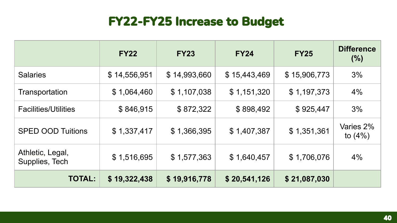# **FY22-FY25 Increase to Budget**

|                                    | <b>FY22</b>  | <b>FY23</b>  | <b>FY24</b>  | <b>FY25</b>  | <b>Difference</b><br>$(\% )$ |
|------------------------------------|--------------|--------------|--------------|--------------|------------------------------|
| <b>Salaries</b>                    | \$14,556,951 | \$14,993,660 | \$15,443,469 | \$15,906,773 | 3%                           |
| Transportation                     | \$1,064,460  | \$1,107,038  | \$1,151,320  | \$1,197,373  | 4%                           |
| <b>Facilities/Utilities</b>        | \$846,915    | \$872,322    | \$898,492    | \$925,447    | 3%                           |
| <b>SPED OOD Tuitions</b>           | \$1,337,417  | \$1,366,395  | \$1,407,387  | \$1,351,361  | Varies 2%<br>to $(4%)$       |
| Athletic, Legal,<br>Supplies, Tech | \$1,516,695  | \$1,577,363  | \$1,640,457  | \$1,706,076  | 4%                           |
| <b>TOTAL:</b>                      | \$19,322,438 | \$19,916,778 | \$20,541,126 | \$21,087,030 |                              |